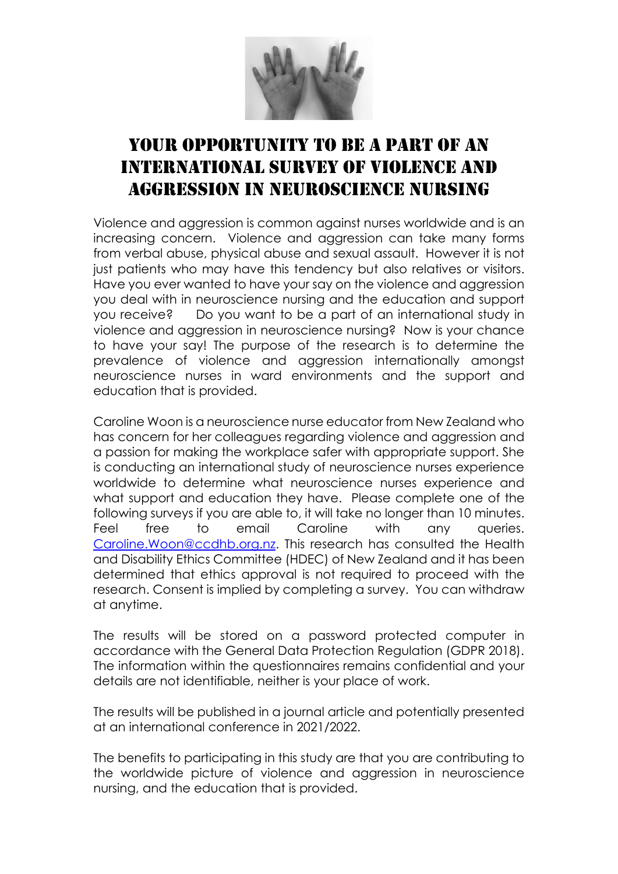

## YOUR OPPORTUNITY TO BE A PART OF AN international survey of violence and aggression in neuroscience nursing

Violence and aggression is common against nurses worldwide and is an increasing concern. Violence and aggression can take many forms from verbal abuse, physical abuse and sexual assault. However it is not just patients who may have this tendency but also relatives or visitors. Have you ever wanted to have your say on the violence and aggression you deal with in neuroscience nursing and the education and support you receive? Do you want to be a part of an international study in violence and aggression in neuroscience nursing? Now is your chance to have your say! The purpose of the research is to determine the prevalence of violence and aggression internationally amongst neuroscience nurses in ward environments and the support and education that is provided.

Caroline Woon is a neuroscience nurse educator from New Zealand who has concern for her colleagues regarding violence and agaression and a passion for making the workplace safer with appropriate support. She is conducting an international study of neuroscience nurses experience worldwide to determine what neuroscience nurses experience and what support and education they have. Please complete one of the following surveys if you are able to, it will take no longer than 10 minutes. Feel free to email Caroline with any queries. [Caroline.Woon@ccdhb.org.nz.](mailto:Caroline.Woon@ccdhb.org.nz) This research has consulted the Health and Disability Ethics Committee (HDEC) of New Zealand and it has been determined that ethics approval is not required to proceed with the research. Consent is implied by completing a survey. You can withdraw at anytime.

The results will be stored on a password protected computer in accordance with the General Data Protection Regulation (GDPR 2018). The information within the questionnaires remains confidential and your details are not identifiable, neither is your place of work.

The results will be published in a journal article and potentially presented at an international conference in 2021/2022.

The benefits to participating in this study are that you are contributing to the worldwide picture of violence and aggression in neuroscience nursing, and the education that is provided.